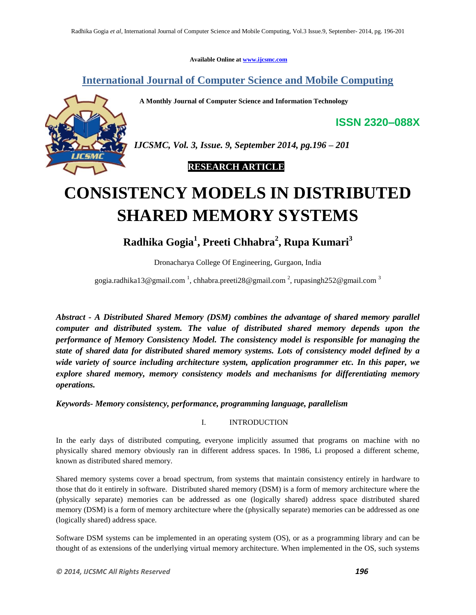**Available Online at www.ijcsmc.com**

# **International Journal of Computer Science and Mobile Computing**

 **A Monthly Journal of Computer Science and Information Technology**



*IJCSMC, Vol. 3, Issue. 9, September 2014, pg.196 – 201*

 **RESEARCH ARTICLE**

# **CONSISTENCY MODELS IN DISTRIBUTED SHARED MEMORY SYSTEMS**

**Radhika Gogia<sup>1</sup> , Preeti Chhabra<sup>2</sup> , Rupa Kumari<sup>3</sup>**

Dronacharya College Of Engineering, Gurgaon, India

gogia.radhika13@gmail.com<sup>-1</sup>, chhabra.preeti28@gmail.com<sup>-2</sup>, rupasingh252@gmail.com<sup>-3</sup>

*Abstract - A Distributed Shared Memory (DSM) combines the advantage of shared memory parallel computer and distributed system. The value of distributed shared memory depends upon the performance of Memory Consistency Model. The consistency model is responsible for managing the state of shared data for distributed shared memory systems. Lots of consistency model defined by a wide variety of source including architecture system, application programmer etc. In this paper, we explore shared memory, memory consistency models and mechanisms for differentiating memory operations.*

*Keywords- Memory consistency, performance, programming language, parallelism*

I. INTRODUCTION

In the early days of distributed computing, everyone implicitly assumed that programs on machine with no physically shared memory obviously ran in different address spaces. In 1986, Li proposed a different scheme, known as distributed shared memory.

Shared memory systems cover a broad spectrum, from systems that maintain consistency entirely in hardware to those that do it entirely in software. Distributed shared memory (DSM) is a form of memory architecture where the (physically separate) memories can be addressed as one (logically shared) address space distributed shared memory (DSM) is a form of memory architecture where the (physically separate) memories can be addressed as one (logically shared) address space.

Software DSM systems can be implemented in an operating system (OS), or as a programming library and can be thought of as extensions of the underlying virtual memory architecture. When implemented in the OS, such systems

**ISSN 2320–088X**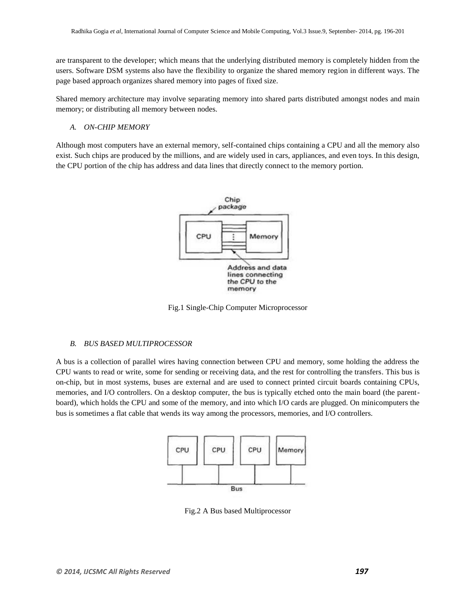are transparent to the developer; which means that the underlying [distributed memory](http://en.wikipedia.org/wiki/Distributed_memory) is completely hidden from the users. Software DSM systems also have the flexibility to organize the shared memory region in different ways. The page based approach organizes shared memory into pages of fixed size.

[Shared memory](http://en.wikipedia.org/wiki/Shared_memory) architecture may involve separating memory into shared parts distributed amongst nodes and main memory; or distributing all memory between nodes.

*A. ON-CHIP MEMORY*

Although most computers have an external memory, self-contained chips containing a CPU and all the memory also exist. Such chips are produced by the millions, and are widely used in cars, appliances, and even toys. In this design, the CPU portion of the chip has address and data lines that directly connect to the memory portion.



Fig.1 Single-Chip Computer Microprocessor

# *B. BUS BASED MULTIPROCESSOR*

A bus is a collection of parallel wires having connection between CPU and memory, some holding the address the CPU wants to read or write, some for sending or receiving data, and the rest for controlling the transfers. This bus is on-chip, but in most systems, buses are external and are used to connect printed circuit boards containing CPUs, memories, and I/O controllers. On a desktop computer, the bus is typically etched onto the main board (the parentboard), which holds the CPU and some of the memory, and into which I/O cards are plugged. On minicomputers the bus is sometimes a flat cable that wends its way among the processors, memories, and I/O controllers.



Fig.2 A Bus based Multiprocessor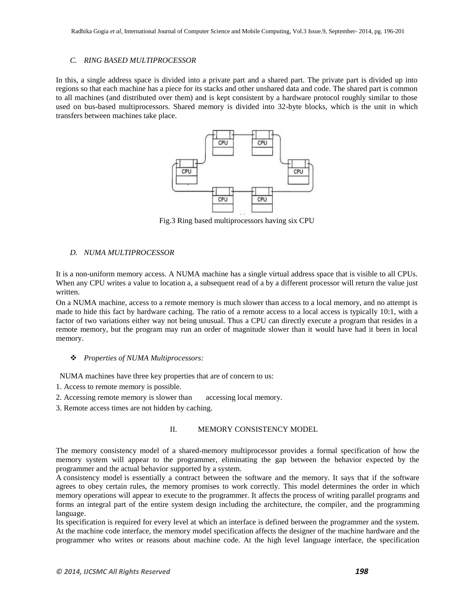#### *C. RING BASED MULTIPROCESSOR*

In this, a single address space is divided into a private part and a shared part. The private part is divided up into regions so that each machine has a piece for its stacks and other unshared data and code. The shared part is common to all machines (and distributed over them) and is kept consistent by a hardware protocol roughly similar to those used on bus-based multiprocessors. Shared memory is divided into 32-byte blocks, which is the unit in which transfers between machines take place.



Fig.3 Ring based multiprocessors having six CPU

# *D. NUMA MULTIPROCESSOR*

It is a non-uniform memory access. A NUMA machine has a single virtual address space that is visible to all CPUs. When any CPU writes a value to location a, a subsequent read of a by a different processor will return the value just written.

On a NUMA machine, access to a remote memory is much slower than access to a local memory, and no attempt is made to hide this fact by hardware caching. The ratio of a remote access to a local access is typically 10:1, with a factor of two variations either way not being unusual. Thus a CPU can directly execute a program that resides in a remote memory, but the program may run an order of magnitude slower than it would have had it been in local memory.

#### *Properties of NUMA Multiprocessors:*

NUMA machines have three key properties that are of concern to us:

- 1. Access to remote memory is possible.
- 2. Accessing remote memory is slower than accessing local memory.
- 3. Remote access times are not hidden by caching.

## II. MEMORY CONSISTENCY MODEL

The memory consistency model of a shared-memory multiprocessor provides a formal specification of how the memory system will appear to the programmer, eliminating the gap between the behavior expected by the programmer and the actual behavior supported by a system.

A consistency model is essentially a contract between the software and the memory. It says that if the software agrees to obey certain rules, the memory promises to work correctly. This model determines the order in which memory operations will appear to execute to the programmer. It affects the process of writing parallel programs and forms an integral part of the entire system design including the architecture, the compiler, and the programming language.

Its specification is required for every level at which an interface is defined between the programmer and the system. At the machine code interface, the memory model specification affects the designer of the machine hardware and the programmer who writes or reasons about machine code. At the high level language interface, the specification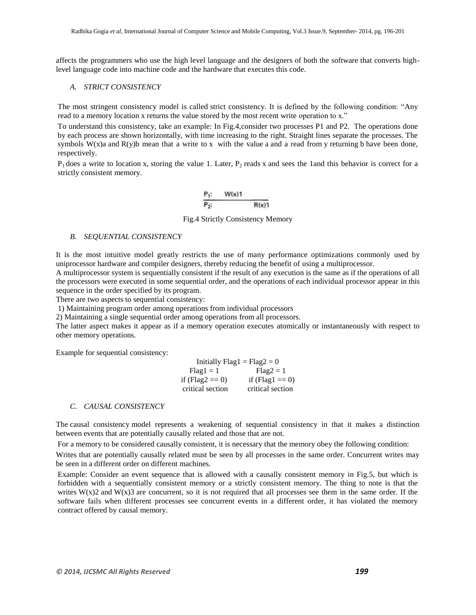affects the programmers who use the high level language and the designers of both the software that converts highlevel language code into machine code and the hardware that executes this code.

#### *A. STRICT CONSISTENCY*

The most stringent consistency model is called strict consistency. It is defined by the following condition: "Any read to a memory location x returns the value stored by the most recent write operation to x."

To understand this consistency, take an example: In Fig.4,consider two processes P1 and P2. The operations done by each process are shown horizontally, with time increasing to the right. Straight lines separate the processes. The symbols  $W(x)$  and  $R(y)$ b mean that a write to x with the value a and a read from y returning b have been done, respectively.

 $P_1$  does a write to location x, storing the value 1. Later,  $P_2$  reads x and sees the 1and this behavior is correct for a strictly consistent memory.

Fig.4 Strictly Consistency Memory

#### *B. SEQUENTIAL CONSISTENCY*

It is the most intuitive model greatly restricts the use of many performance optimizations commonly used by uniprocessor hardware and compiler designers, thereby reducing the benefit of using a multiprocessor.

A multiprocessor system is sequentially consistent if the result of any execution is the same as if the operations of all the processors were executed in some sequential order, and the operations of each individual processor appear in this sequence in the order specified by its program.

There are two aspects to sequential consistency:

1) Maintaining program order among operations from individual processors

2) Maintaining a single sequential order among operations from all processors.

The latter aspect makes it appear as if a memory operation executes atomically or instantaneously with respect to other memory operations.

Example for sequential consistency:

| Initially $Flag1 = Flag2 = 0$ |                   |
|-------------------------------|-------------------|
| $Flag1 = 1$                   | $Flag2 = 1$       |
| if (Flag2 = $=$ 0)            | if (Flag1 = $0$ ) |
| critical section              | critical section  |

#### *C. CAUSAL CONSISTENCY*

The causal consistency model represents a weakening of sequential consistency in that it makes a distinction between events that are potentially causally related and those that are not.

For a memory to be considered causally consistent, it is necessary that the memory obey the following condition:

Writes that are potentially causally related must be seen by all processes in the same order. Concurrent writes may be seen in a different order on different machines.

Example: Consider an event sequence that is allowed with a causally consistent memory in Fig.5, but which is forbidden with a sequentially consistent memory or a strictly consistent memory. The thing to note is that the writes  $W(x)$ 2 and  $W(x)$ 3 are concurrent, so it is not required that all processes see them in the same order. If the software fails when different processes see concurrent events in a different order, it has violated the memory contract offered by causal memory.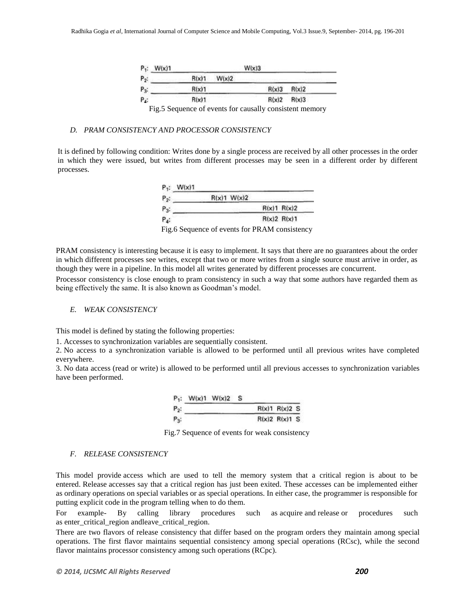| $P_1$ :<br>W(x)1 |       |       | W(x)3 |          |                                                          |
|------------------|-------|-------|-------|----------|----------------------------------------------------------|
| $P_2$ :          | R(x)1 | W(x)2 |       |          |                                                          |
| $P_3$ :          | R(x)1 |       |       | $R(x)$ 3 | R(x)2                                                    |
| P.:              | R(x)1 |       |       | R(x)2    | R(x)3                                                    |
|                  |       |       |       |          | Fig. 5 Sequence of events for causally consistent memory |

# *D. PRAM CONSISTENCY AND PROCESSOR CONSISTENCY*

It is defined by following condition: Writes done by a single process are received by all other processes in the order in which they were issued, but writes from different processes may be seen in a different order by different processes.

| R(x)1 W(x)2 |             |
|-------------|-------------|
|             | R(x)1 R(x)2 |
|             | R(x)2 R(x)1 |

Fig.6 Sequence of events for PRAM consistency

PRAM consistency is interesting because it is easy to implement. It says that there are no guarantees about the order in which different processes see writes, except that two or more writes from a single source must arrive in order, as though they were in a pipeline. In this model all writes generated by different processes are concurrent.

Processor consistency is close enough to pram consistency in such a way that some authors have regarded them as being effectively the same. It is also known as Goodman's model.

#### *E. WEAK CONSISTENCY*

This model is defined by stating the following properties:

1. Accesses to synchronization variables are sequentially consistent.

2. No access to a synchronization variable is allowed to be performed until all previous writes have completed everywhere.

3. No data access (read or write) is allowed to be performed until all previous accesses to synchronization variables have been performed.

|         | $P_1$ : W(x)1 W(x)2 S |  |               |  |
|---------|-----------------------|--|---------------|--|
| $P_2$ : |                       |  | R(x)1 R(x)2 S |  |
| $P_{3}$ |                       |  | R(x)2 R(x)1 S |  |

Fig.7 Sequence of events for weak consistency

### *F. RELEASE CONSISTENCY*

This model provide access which are used to tell the memory system that a critical region is about to be entered. Release accesses say that a critical region has just been exited. These accesses can be implemented either as ordinary operations on special variables or as special operations. In either case, the programmer is responsible for putting explicit code in the program telling when to do them.

For example- By calling library procedures such as acquire and release or procedures such as enter\_critical\_region andleave\_critical\_region.

There are two flavors of release consistency that differ based on the program orders they maintain among special operations. The first flavor maintains sequential consistency among special operations (RCsc), while the second flavor maintains processor consistency among such operations (RCpc).